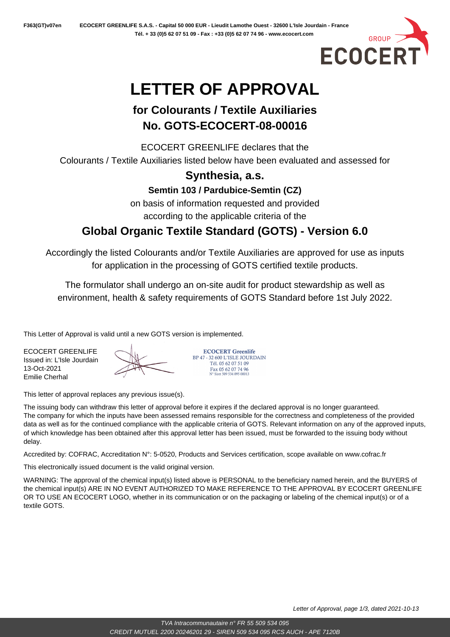

# **LETTER OF APPROVAL**

# **for Colourants / Textile Auxiliaries No. GOTS-ECOCERT-08-00016**

ECOCERT GREENLIFE declares that the Colourants / Textile Auxiliaries listed below have been evaluated and assessed for

#### **Synthesia, a.s.**

**Semtin 103 / Pardubice-Semtin (CZ)**

on basis of information requested and provided according to the applicable criteria of the

## **Global Organic Textile Standard (GOTS) - Version 6.0**

Accordingly the listed Colourants and/or Textile Auxiliaries are approved for use as inputs for application in the processing of GOTS certified textile products.

The formulator shall undergo an on-site audit for product stewardship as well as environment, health & safety requirements of GOTS Standard before 1st July 2022.

This Letter of Approval is valid until a new GOTS version is implemented.

ECOCERT GREENLIFE Issued in: L'Isle Jourdain 13-Oct-2021 Emilie Cherhal



**ECOCERT Greenlife** BP 47 - 32.600 L'ISLE JOURDAIN Tél. 05 62 07 51 09 Fax 05 62 07 74 96<br>N° Siret 509 534 095 00013

This letter of approval replaces any previous issue(s).

The issuing body can withdraw this letter of approval before it expires if the declared approval is no longer guaranteed. The company for which the inputs have been assessed remains responsible for the correctness and completeness of the provided data as well as for the continued compliance with the applicable criteria of GOTS. Relevant information on any of the approved inputs, of which knowledge has been obtained after this approval letter has been issued, must be forwarded to the issuing body without delay.

Accredited by: COFRAC, Accreditation N°: 5-0520, Products and Services certification, scope available on www.cofrac.fr

This electronically issued document is the valid original version.

WARNING: The approval of the chemical input(s) listed above is PERSONAL to the beneficiary named herein, and the BUYERS of the chemical input(s) ARE IN NO EVENT AUTHORIZED TO MAKE REFERENCE TO THE APPROVAL BY ECOCERT GREENLIFE OR TO USE AN ECOCERT LOGO, whether in its communication or on the packaging or labeling of the chemical input(s) or of a textile GOTS.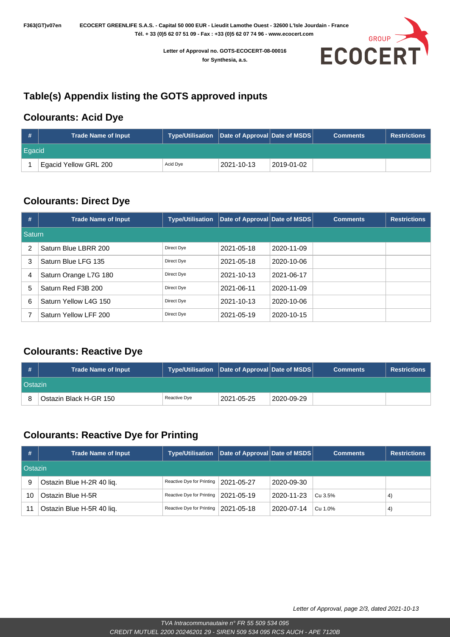**Letter of Approval no. GOTS-ECOCERT-08-00016 for Synthesia, a.s.**



## **Table(s) Appendix listing the GOTS approved inputs**

#### **Colourants: Acid Dye**

| #      | <b>Trade Name of Input</b> | Type/Utilisation   Date of Approval   Date of MSDS |            |            | <b>Comments</b> | Restrictions |  |
|--------|----------------------------|----------------------------------------------------|------------|------------|-----------------|--------------|--|
| Eqacid |                            |                                                    |            |            |                 |              |  |
|        | Egacid Yellow GRL 200      | Acid Dye                                           | 2021-10-13 | 2019-01-02 |                 |              |  |

## **Colourants: Direct Dye**

| #              | <b>Trade Name of Input</b> | <b>Type/Utilisation</b> | Date of Approval Date of MSDS |            | <b>Comments</b> | <b>Restrictions</b> |  |  |
|----------------|----------------------------|-------------------------|-------------------------------|------------|-----------------|---------------------|--|--|
| Saturn         |                            |                         |                               |            |                 |                     |  |  |
| $\overline{2}$ | Saturn Blue LBRR 200       | Direct Dye              | 2021-05-18                    | 2020-11-09 |                 |                     |  |  |
| 3              | Saturn Blue LFG 135        | Direct Dye              | 2021-05-18                    | 2020-10-06 |                 |                     |  |  |
| 4              | Saturn Orange L7G 180      | Direct Dye              | 2021-10-13                    | 2021-06-17 |                 |                     |  |  |
| 5              | Saturn Red F3B 200         | Direct Dye              | 2021-06-11                    | 2020-11-09 |                 |                     |  |  |
| 6              | Saturn Yellow L4G 150      | Direct Dye              | 2021-10-13                    | 2020-10-06 |                 |                     |  |  |
|                | Saturn Yellow LFF 200      | Direct Dye              | 2021-05-19                    | 2020-10-15 |                 |                     |  |  |

#### **Colourants: Reactive Dye**

| #       | <b>Trade Name of Input</b> | Type/Utilisation Date of Approval Date of MSDS |            |            | <b>Comments</b> | <b>Restrictions</b> |  |
|---------|----------------------------|------------------------------------------------|------------|------------|-----------------|---------------------|--|
| Ostazin |                            |                                                |            |            |                 |                     |  |
|         | Ostazin Black H-GR 150     | Reactive Dve                                   | 2021-05-25 | 2020-09-29 |                 |                     |  |

### **Colourants: Reactive Dye for Printing**

| #  | <b>Trade Name of Input</b> | <b>Type/Utilisation</b>                | ∣ Date of Approval Date of MSDS   I |            | <b>Comments</b> | <b>Restrictions</b> |  |  |
|----|----------------------------|----------------------------------------|-------------------------------------|------------|-----------------|---------------------|--|--|
|    | Ostazin                    |                                        |                                     |            |                 |                     |  |  |
| 9  | Ostazin Blue H-2R 40 liq.  | Reactive Dye for Printing   2021-05-27 |                                     | 2020-09-30 |                 |                     |  |  |
| 10 | Ostazin Blue H-5R          | Reactive Dye for Printing   2021-05-19 |                                     | 2020-11-23 | Cu 3.5%         | $\left( 4\right)$   |  |  |
| 11 | Ostazin Blue H-5R 40 lig.  | Reactive Dye for Printing   2021-05-18 |                                     | 2020-07-14 | Cu 1.0%         | $\left(4\right)$    |  |  |